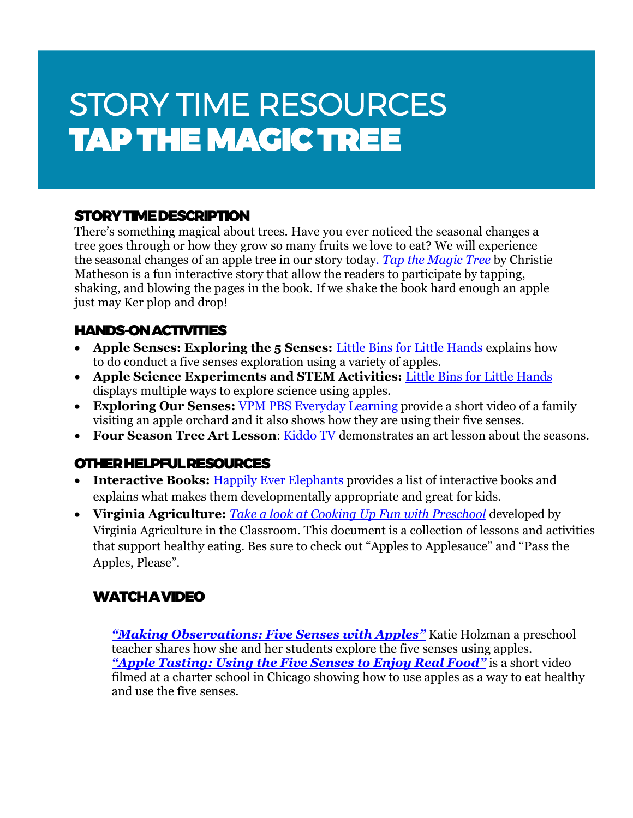# STORY TIME RESOURCES TAP THE MAGIC TREE

## STORY TIME DESCRIPTION

There's something magical about trees. Have you ever noticed the seasonal changes a tree goes through or how they grow so many fruits we love to eat? We will experience the seasonal changes of an apple tree in our story today*. [Tap the Magic Tree](https://www.amazon.com/Tap-Magic-Tree-Board-Book/dp/0062274465)* by Christie Matheson is a fun interactive story that allow the readers to participate by tapping, shaking, and blowing the pages in the book. If we shake the book hard enough an apple just may Ker plop and drop!

#### HANDS-ON ACTIVITIES

- **Apple Senses: Exploring the 5 Senses:** [Little Bins for Little Hands](https://littlebinsforlittlehands.com/apple-science-senses-activity-fall-stem/) explains how to do conduct a five senses exploration using a variety of apples.
- **Apple Science Experiments and STEM Activities:** [Little Bins for Little Hands](https://littlebinsforlittlehands.com/apple-science-experiments-stem/) displays multiple ways to explore science using apples.
- **Exploring Our Senses:** [VPM PBS Everyday Learning](https://kidsgardening.org/garden-activities-save-your-seeds/) provide a short video of a family visiting an apple orchard and it also shows how they are using their five senses.
- **Four Season Tree Art Lesson**: [Kiddo TV](https://www.youtube.com/watch?v=3eqb99XjrK0) demonstrates an art lesson about the seasons.

#### OTHER HELPFUL RESOURCES

- **Interactive Books:** [Happily Ever Elephants](https://happilyeverelephants.com/home/interactive-books-for-babies) provides a list of interactive books and explains what makes them developmentally appropriate and great for kids.
- **Virginia Agriculture:** *[Take a look at Cooking Up Fun with Preschool](https://agclassroom.org/va/teachers/lesson_subject/cooking.pdf)* developed by Virginia Agriculture in the Classroom. This document is a collection of lessons and activities that support healthy eating. Bes sure to check out "Apples to Applesauce" and "Pass the Apples, Please".

# WATCH A VIDEO

*["Making Observations: Five Senses with Apples"](https://www.youtube.com/watch?v=DnixES8Pp0g)* Katie Holzman a preschool teacher shares how she and her students explore the five senses using apples. *"Apple Tasting[: Using the Five Senses to Enjoy Real Food](https://www.youtube.com/watch?v=eCS-DKyGFJs)"* is a short video filmed at a charter school in Chicago showing how to use apples as a way to eat healthy and use the five senses.